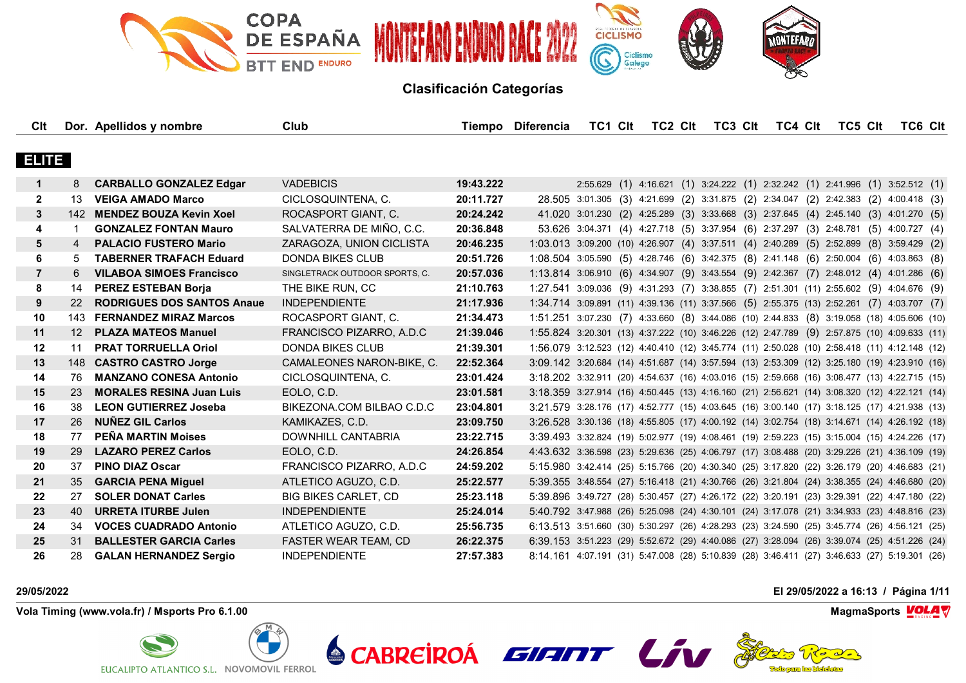

| Clt            |                  | Dor. Apellidos y nombre           | Club                           |           | Tiempo Diferencia                                                                            | TC1 Clt | TC2 CIt | TC3 Clt | TC4 Clt | TC5 Clt                                                                              | TC6 CIt |  |
|----------------|------------------|-----------------------------------|--------------------------------|-----------|----------------------------------------------------------------------------------------------|---------|---------|---------|---------|--------------------------------------------------------------------------------------|---------|--|
|                |                  |                                   |                                |           |                                                                                              |         |         |         |         |                                                                                      |         |  |
| <b>ELITE</b>   |                  |                                   |                                |           |                                                                                              |         |         |         |         |                                                                                      |         |  |
| $\mathbf 1$    | 8                | <b>CARBALLO GONZALEZ Edgar</b>    | <b>VADEBICIS</b>               | 19:43.222 |                                                                                              |         |         |         |         | 2:55.629 (1) 4:16.621 (1) 3:24.222 (1) 2:32.242 (1) 2:41.996 (1) 3:52.512 (1)        |         |  |
| $\mathbf{2}$   | 13               | <b>VEIGA AMADO Marco</b>          | CICLOSQUINTENA, C.             | 20:11.727 |                                                                                              |         |         |         |         | 28.505 3:01.305 (3) 4:21.699 (2) 3:31.875 (2) 2:34.047 (2) 2:42.383 (2) 4:00.418 (3) |         |  |
| 3              |                  | 142 MENDEZ BOUZA Kevin Xoel       | ROCASPORT GIANT, C.            | 20:24.242 |                                                                                              |         |         |         |         | 41.020 3:01.230 (2) 4:25.289 (3) 3:33.668 (3) 2:37.645 (4) 2:45.140 (3) 4:01.270 (5) |         |  |
| 4              | -1               | <b>GONZALEZ FONTAN Mauro</b>      | SALVATERRA DE MIÑO, C.C.       | 20:36.848 |                                                                                              |         |         |         |         | 53.626 3:04.371 (4) 4:27.718 (5) 3:37.954 (6) 2:37.297 (3) 2:48.781 (5) 4:00.727 (4) |         |  |
| 5              | 4                | <b>PALACIO FUSTERO Mario</b>      | ZARAGOZA, UNION CICLISTA       | 20:46.235 | 1:03.013 3:09.200 (10) 4:26.907 (4) 3:37.511 (4) 2:40.289 (5) 2:52.899 (8) 3:59.429 (2)      |         |         |         |         |                                                                                      |         |  |
| 6              | 5                | <b>TABERNER TRAFACH Eduard</b>    | <b>DONDA BIKES CLUB</b>        | 20:51.726 | 1:08.504 3:05.590 (5) 4:28.746 (6) 3:42.375 (8) 2:41.148 (6) 2:50.004 (6) 4:03.863 (8)       |         |         |         |         |                                                                                      |         |  |
| $\overline{7}$ | 6                | <b>VILABOA SIMOES Francisco</b>   | SINGLETRACK OUTDOOR SPORTS, C. | 20:57.036 | 1:13.814 3:06.910 (6) 4:34.907 (9) 3:43.554 (9) 2:42.367 (7) 2:48.012 (4) 4:01.286 (6)       |         |         |         |         |                                                                                      |         |  |
| 8              | 14               | <b>PEREZ ESTEBAN Borja</b>        | THE BIKE RUN, CC               | 21:10.763 | 1:27.541 3:09.036 (9) 4:31.293 (7) 3:38.855 (7) 2:51.301 (11) 2:55.602 (9) 4:04.676 (9)      |         |         |         |         |                                                                                      |         |  |
| 9              | <b>22</b>        | <b>RODRIGUES DOS SANTOS Anaue</b> | <b>INDEPENDIENTE</b>           | 21:17.936 | 1:34.714 3:09.891 (11) 4:39.136 (11) 3:37.566 (5) 2:55.375 (13) 2:52.261 (7) 4:03.707 (7)    |         |         |         |         |                                                                                      |         |  |
| 10             |                  | 143 FERNANDEZ MIRAZ Marcos        | ROCASPORT GIANT, C.            | 21:34.473 | 1:51.251 3:07.230 (7) 4:33.660 (8) 3:44.086 (10) 2:44.833 (8) 3:19.058 (18) 4:05.606 (10)    |         |         |         |         |                                                                                      |         |  |
| 11             | 12 <sup>12</sup> | <b>PLAZA MATEOS Manuel</b>        | FRANCISCO PIZARRO, A.D.C       | 21:39.046 | 1:55.824 3:20.301 (13) 4:37.222 (10) 3:46.226 (12) 2:47.789 (9) 2:57.875 (10) 4:09.633 (11)  |         |         |         |         |                                                                                      |         |  |
| 12             | 11               | <b>PRAT TORRUELLA Oriol</b>       | <b>DONDA BIKES CLUB</b>        | 21:39.301 | 1:56.079 3:12.523 (12) 4:40.410 (12) 3:45.774 (11) 2:50.028 (10) 2:58.418 (11) 4:12.148 (12) |         |         |         |         |                                                                                      |         |  |
| 13             |                  | 148 CASTRO CASTRO Jorge           | CAMALEONES NARON-BIKE, C.      | 22:52.364 | 3:09.142 3:20.684 (14) 4:51.687 (14) 3:57.594 (13) 2:53.309 (12) 3:25.180 (19) 4:23.910 (16) |         |         |         |         |                                                                                      |         |  |
| 14             | 76               | <b>MANZANO CONESA Antonio</b>     | CICLOSQUINTENA, C.             | 23:01.424 | 3:18.202 3:32.911 (20) 4:54.637 (16) 4:03.016 (15) 2:59.668 (16) 3:08.477 (13) 4:22.715 (15) |         |         |         |         |                                                                                      |         |  |
| 15             | 23               | <b>MORALES RESINA Juan Luis</b>   | EOLO, C.D.                     | 23:01.581 | 3:18.359 3:27.914 (16) 4:50.445 (13) 4:16.160 (21) 2:56.621 (14) 3:08.320 (12) 4:22.121 (14) |         |         |         |         |                                                                                      |         |  |
| 16             | 38               | <b>LEON GUTIERREZ Joseba</b>      | BIKEZONA.COM BILBAO C.D.C      | 23:04.801 | 3:21.579 3:28.176 (17) 4:52.777 (15) 4:03.645 (16) 3:00.140 (17) 3:18.125 (17) 4:21.938 (13) |         |         |         |         |                                                                                      |         |  |
| 17             | 26               | <b>NUNEZ GIL Carlos</b>           | KAMIKAZES, C.D.                | 23:09.750 | 3:26.528 3:30.136 (18) 4:55.805 (17) 4:00.192 (14) 3:02.754 (18) 3:14.671 (14) 4:26.192 (18) |         |         |         |         |                                                                                      |         |  |
| 18             | 77               | PEÑA MARTIN Moises                | DOWNHILL CANTABRIA             | 23:22.715 | 3:39.493 3:32.824 (19) 5:02.977 (19) 4:08.461 (19) 2:59.223 (15) 3:15.004 (15) 4:24.226 (17) |         |         |         |         |                                                                                      |         |  |
| 19             | 29               | <b>LAZARO PEREZ Carlos</b>        | EOLO, C.D.                     | 24:26.854 | 4:43.632 3:36.598 (23) 5:29.636 (25) 4:06.797 (17) 3:08.488 (20) 3:29.226 (21) 4:36.109 (19) |         |         |         |         |                                                                                      |         |  |
| 20             | 37               | <b>PINO DIAZ Oscar</b>            | FRANCISCO PIZARRO, A.D.C       | 24:59.202 | 5:15.980 3:42.414 (25) 5:15.766 (20) 4:30.340 (25) 3:17.820 (22) 3:26.179 (20) 4:46.683 (21) |         |         |         |         |                                                                                      |         |  |
| 21             | 35               | <b>GARCIA PENA Miguel</b>         | ATLETICO AGUZO, C.D.           | 25:22.577 | 5:39.355 3:48.554 (27) 5:16.418 (21) 4:30.766 (26) 3:21.804 (24) 3:38.355 (24) 4:46.680 (20) |         |         |         |         |                                                                                      |         |  |
| 22             | 27               | <b>SOLER DONAT Carles</b>         | <b>BIG BIKES CARLET. CD</b>    | 25:23.118 | 5:39.896 3:49.727 (28) 5:30.457 (27) 4:26.172 (22) 3:20.191 (23) 3:29.391 (22) 4:47.180 (22) |         |         |         |         |                                                                                      |         |  |
| 23             | 40               | <b>URRETA ITURBE Julen</b>        | <b>INDEPENDIENTE</b>           | 25:24.014 | 5:40.792 3:47.988 (26) 5:25.098 (24) 4:30.101 (24) 3:17.078 (21) 3:34.933 (23) 4:48.816 (23) |         |         |         |         |                                                                                      |         |  |
| 24             | 34               | <b>VOCES CUADRADO Antonio</b>     | ATLETICO AGUZO, C.D.           | 25:56.735 | 6:13.513 3:51.660 (30) 5:30.297 (26) 4:28.293 (23) 3:24.590 (25) 3:45.774 (26) 4:56.121 (25) |         |         |         |         |                                                                                      |         |  |
| 25             | 31               | <b>BALLESTER GARCIA Carles</b>    | <b>FASTER WEAR TEAM, CD</b>    | 26:22.375 | 6:39.153 3:51.223 (29) 5:52.672 (29) 4:40.086 (27) 3:28.094 (26) 3:39.074 (25) 4:51.226 (24) |         |         |         |         |                                                                                      |         |  |
| 26             | 28               | <b>GALAN HERNANDEZ Sergio</b>     | <b>INDEPENDIENTE</b>           | 27:57.383 | 8:14.161 4:07.191 (31) 5:47.008 (28) 5:10.839 (28) 3:46.411 (27) 3:46.633 (27) 5:19.301 (26) |         |         |         |         |                                                                                      |         |  |

**Vola Timing (www.vola.fr) / Msports Pro 6.1.00 MagmaSports VOLA** 



**29/05/2022 El 29/05/2022 a 16:13 / Página 1/11**



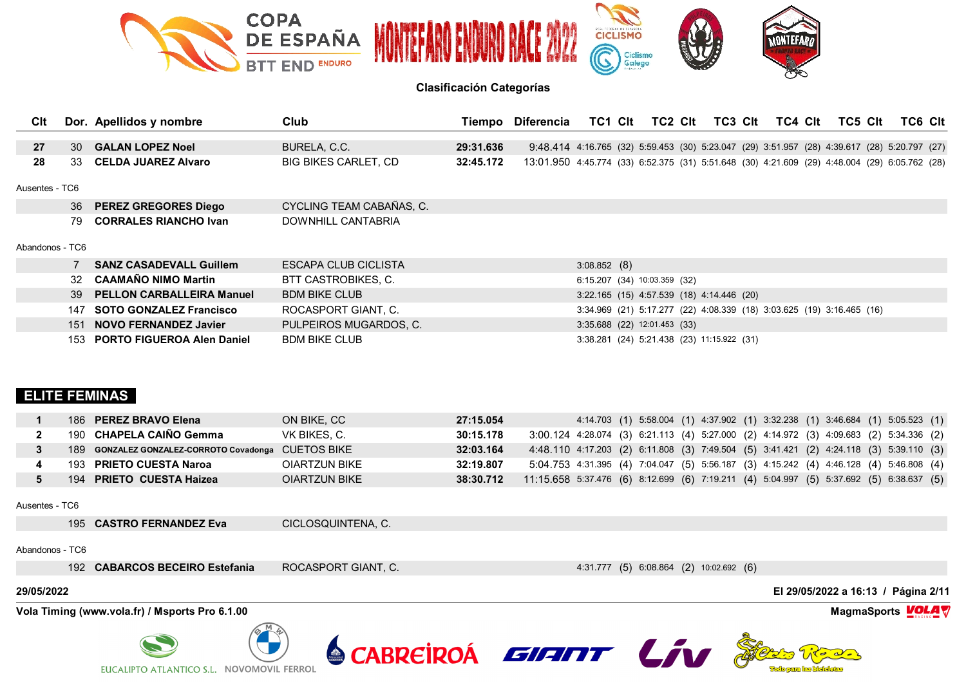

| Clt             |      | Dor. Apellidos y nombre          | Club                        |           | Tiempo Diferencia                                                                             | TC1 CIt     | TC2 CIt                                                               | TC3 CIt | TC4 Clt | TC5 Clt |  | TC6 Clt |
|-----------------|------|----------------------------------|-----------------------------|-----------|-----------------------------------------------------------------------------------------------|-------------|-----------------------------------------------------------------------|---------|---------|---------|--|---------|
|                 |      |                                  |                             |           |                                                                                               |             |                                                                       |         |         |         |  |         |
| 27              | 30 I | <b>GALAN LOPEZ Noel</b>          | BURELA, C.C.                | 29:31.636 | 9:48.414 4:16.765 (32) 5:59.453 (30) 5:23.047 (29) 3:51.957 (28) 4:39.617 (28) 5:20.797 (27)  |             |                                                                       |         |         |         |  |         |
| 28              | 33.  | <b>CELDA JUAREZ Alvaro</b>       | <b>BIG BIKES CARLET, CD</b> | 32:45.172 | 13:01.950 4:45.774 (33) 6:52.375 (31) 5:51.648 (30) 4:21.609 (29) 4:48.004 (29) 6:05.762 (28) |             |                                                                       |         |         |         |  |         |
| Ausentes - TC6  |      |                                  |                             |           |                                                                                               |             |                                                                       |         |         |         |  |         |
|                 | 36   | <b>PEREZ GREGORES Diego</b>      | CYCLING TEAM CABAÑAS, C.    |           |                                                                                               |             |                                                                       |         |         |         |  |         |
|                 | 79   | <b>CORRALES RIANCHO Ivan</b>     | DOWNHILL CANTABRIA          |           |                                                                                               |             |                                                                       |         |         |         |  |         |
| Abandonos - TC6 |      |                                  |                             |           |                                                                                               |             |                                                                       |         |         |         |  |         |
|                 |      | <b>SANZ CASADEVALL Guillem</b>   | ESCAPA CLUB CICLISTA        |           |                                                                                               | 3:08.852(8) |                                                                       |         |         |         |  |         |
|                 | 32   | <b>CAAMAÑO NIMO Martin</b>       | BTT CASTROBIKES, C.         |           |                                                                                               |             | 6:15.207 (34) 10:03.359 (32)                                          |         |         |         |  |         |
|                 | 39   | <b>PELLON CARBALLEIRA Manuel</b> | <b>BDM BIKE CLUB</b>        |           |                                                                                               |             | 3:22.165 (15) 4:57.539 (18) 4:14.446 (20)                             |         |         |         |  |         |
|                 | 147  | <b>SOTO GONZALEZ Francisco</b>   | ROCASPORT GIANT, C.         |           |                                                                                               |             | 3:34.969 (21) 5:17.277 (22) 4:08.339 (18) 3:03.625 (19) 3:16.465 (16) |         |         |         |  |         |
|                 | 151  | <b>NOVO FERNANDEZ Javier</b>     | PULPEIROS MUGARDOS, C.      |           |                                                                                               |             | 3:35.688 (22) 12:01.453 (33)                                          |         |         |         |  |         |
|                 |      | 153 PORTO FIGUEROA Alen Daniel   | <b>BDM BIKE CLUB</b>        |           |                                                                                               |             | 3:38.281 (24) 5:21.438 (23) 11:15.922 (31)                            |         |         |         |  |         |

# **ELITE FEMINAS**

| 186 PEREZ BRAVO Elena                               | ON BIKE, CC   | 27:15.054 |  |  | 4:14.703 (1) 5:58.004 (1) 4:37.902 (1) 3:32.238 (1) 3:46.684 (1) 5:05.523 (1)           |  |
|-----------------------------------------------------|---------------|-----------|--|--|-----------------------------------------------------------------------------------------|--|
| 190 CHAPELA CAIÑO Gemma                             | VK BIKES. C.  | 30:15.178 |  |  | 3:00.124 4:28.074 (3) 6:21.113 (4) 5:27.000 (2) 4:14.972 (3) 4:09.683 (2) 5:34.336 (2)  |  |
| 189 GONZALEZ GONZALEZ-CORROTO Covadonga CUETOS BIKE |               | 32:03.164 |  |  | 4:48.110 4:17.203 (2) 6:11.808 (3) 7:49.504 (5) 3:41.421 (2) 4:24.118 (3) 5:39.110 (3)  |  |
| 193 PRIETO CUESTA Naroa                             | OIARTZUN BIKE | 32:19.807 |  |  | 5:04.753 4:31.395 (4) 7:04.047 (5) 5:56.187 (3) 4:15.242 (4) 4:46.128 (4) 5:46.808 (4)  |  |
| 194 PRIETO CUESTA Haizea                            | OIARTZUN BIKE | 38:30.712 |  |  | 11:15.658 5:37.476 (6) 8:12.699 (6) 7:19.211 (4) 5:04.997 (5) 5:37.692 (5) 6:38.637 (5) |  |

SCABREIROA EVENT LIV

Ausentes - TC6

195 **CASTRO FERNANDEZ Eva** CICLOSQUINTENA, C.

### Abandonos - TC6

192 **CABARCOS BECEIRO Estefania** ROCASPORT GIANT, C. 4:31.777 (5) 6:08.864 (2) 10:02.692 (6)

**Vola Timing (www.vola.fr) / Msports Pro 6.1.00 MagmaSports VOLA** 

EUCALIPTO ATLANTICO S.L. NOVOMOVIL FERROL

**29/05/2022 El 29/05/2022 a 16:13 / Página 2/11**

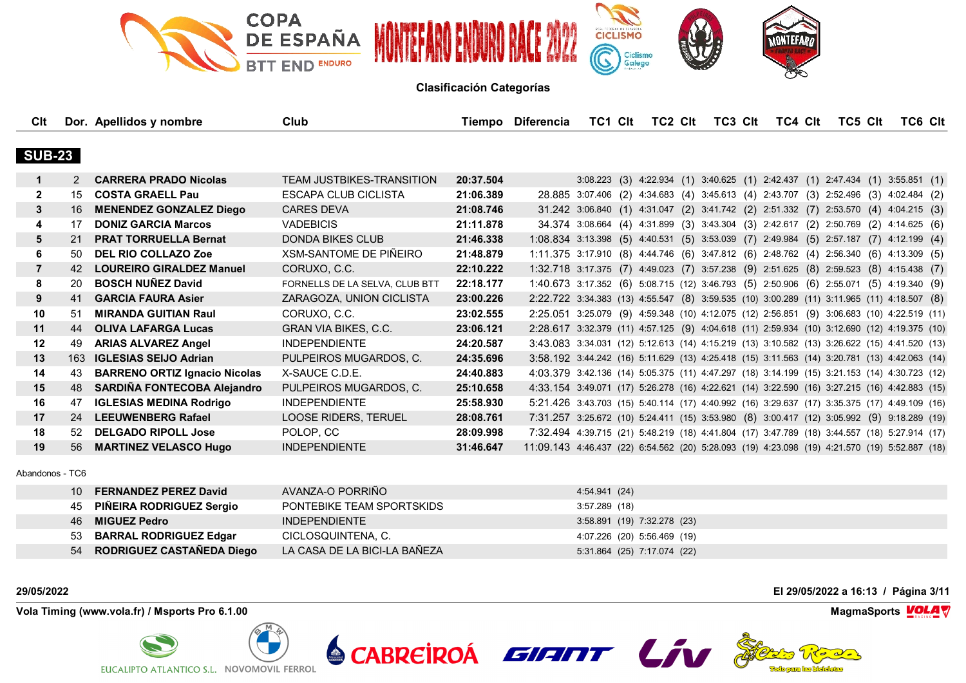

| Clt            |               | Dor. Apellidos y nombre              | Club                           |           | Tiempo Diferencia                                                                             | TC1 CIt | TC2 CIt | TC3 CIt | TC4 CIt                                                                              | TC5 CIt | TC6 CIt |  |
|----------------|---------------|--------------------------------------|--------------------------------|-----------|-----------------------------------------------------------------------------------------------|---------|---------|---------|--------------------------------------------------------------------------------------|---------|---------|--|
|                |               |                                      |                                |           |                                                                                               |         |         |         |                                                                                      |         |         |  |
| <b>SUB-23</b>  |               |                                      |                                |           |                                                                                               |         |         |         |                                                                                      |         |         |  |
| $\mathbf 1$    | $\mathcal{P}$ | <b>CARRERA PRADO Nicolas</b>         | TEAM JUSTBIKES-TRANSITION      | 20:37.504 |                                                                                               |         |         |         | 3:08.223 (3) 4:22.934 (1) 3:40.625 (1) 2:42.437 (1) 2:47.434 (1) 3:55.851 (1)        |         |         |  |
| 2              | 15            | <b>COSTA GRAELL Pau</b>              | ESCAPA CLUB CICLISTA           | 21:06.389 |                                                                                               |         |         |         | 28.885 3:07.406 (2) 4:34.683 (4) 3:45.613 (4) 2:43.707 (3) 2:52.496 (3) 4:02.484 (2) |         |         |  |
| 3              | 16            | <b>MENENDEZ GONZALEZ Diego</b>       | <b>CARES DEVA</b>              | 21:08.746 |                                                                                               |         |         |         | 31.242 3:06.840 (1) 4:31.047 (2) 3:41.742 (2) 2:51.332 (7) 2:53.570 (4) 4:04.215 (3) |         |         |  |
| 4              | 17            | <b>DONIZ GARCIA Marcos</b>           | <b>VADEBICIS</b>               | 21:11.878 |                                                                                               |         |         |         | 34.374 3:08.664 (4) 4:31.899 (3) 3:43.304 (3) 2:42.617 (2) 2:50.769 (2) 4:14.625 (6) |         |         |  |
| 5              | 21            | <b>PRAT TORRUELLA Bernat</b>         | <b>DONDA BIKES CLUB</b>        | 21:46.338 | 1:08.834 3:13.398 (5) 4:40.531 (5) 3:53.039 (7) 2:49.984 (5) 2:57.187 (7) 4:12.199 (4)        |         |         |         |                                                                                      |         |         |  |
| 6              | 50            | <b>DEL RIO COLLAZO Zoe</b>           | XSM-SANTOME DE PIÑEIRO         | 21:48.879 | 1:11.375 3:17.910 (8) 4:44.746 (6) 3:47.812 (6) 2:48.762 (4) 2:56.340 (6) 4:13.309 (5)        |         |         |         |                                                                                      |         |         |  |
| $\overline{7}$ | 42            | <b>LOUREIRO GIRALDEZ Manuel</b>      | CORUXO, C.C.                   | 22:10.222 | 1:32.718 3:17.375 (7) 4:49.023 (7) 3:57.238 (9) 2:51.625 (8) 2:59.523 (8) 4:15.438 (7)        |         |         |         |                                                                                      |         |         |  |
| 8              | 20            | <b>BOSCH NUÑEZ David</b>             | FORNELLS DE LA SELVA, CLUB BTT | 22:18.177 | 1:40.673 3:17.352 (6) 5:08.715 (12) 3:46.793 (5) 2:50.906 (6) 2:55.071 (5) 4:19.340 (9)       |         |         |         |                                                                                      |         |         |  |
| 9              | 41            | <b>GARCIA FAURA Asier</b>            | ZARAGOZA, UNION CICLISTA       | 23:00.226 | 2:22.722 3:34.383 (13) 4:55.547 (8) 3:59.535 (10) 3:00.289 (11) 3:11.965 (11) 4:18.507 (8)    |         |         |         |                                                                                      |         |         |  |
| 10             | 51            | <b>MIRANDA GUITIAN Raul</b>          | CORUXO, C.C.                   | 23:02.555 | 2:25.051 3:25.079 (9) 4:59.348 (10) 4:12.075 (12) 2:56.851 (9) 3:06.683 (10) 4:22.519 (11)    |         |         |         |                                                                                      |         |         |  |
| 11             | 44            | <b>OLIVA LAFARGA Lucas</b>           | <b>GRAN VIA BIKES, C.C.</b>    | 23:06.121 | 2:28.617 3:32.379 (11) 4:57.125 (9) 4:04.618 (11) 2:59.934 (10) 3:12.690 (12) 4:19.375 (10)   |         |         |         |                                                                                      |         |         |  |
| 12             | 49            | <b>ARIAS ALVAREZ Angel</b>           | <b>INDEPENDIENTE</b>           | 24:20.587 | 3:43.083 3:34.031 (12) 5:12.613 (14) 4:15.219 (13) 3:10.582 (13) 3:26.622 (15) 4:41.520 (13)  |         |         |         |                                                                                      |         |         |  |
| 13             | 163           | <b>IGLESIAS SEIJO Adrian</b>         | PULPEIROS MUGARDOS, C.         | 24:35.696 | 3:58.192 3:44.242 (16) 5:11.629 (13) 4:25.418 (15) 3:11.563 (14) 3:20.781 (13) 4:42.063 (14)  |         |         |         |                                                                                      |         |         |  |
| 14             | 43            | <b>BARRENO ORTIZ Ignacio Nicolas</b> | X-SAUCE C.D.E.                 | 24:40.883 | 4:03.379 3:42.136 (14) 5:05.375 (11) 4:47.297 (18) 3:14.199 (15) 3:21.153 (14) 4:30.723 (12)  |         |         |         |                                                                                      |         |         |  |
| 15             | 48            | SARDIÑA FONTECOBA Alejandro          | PULPEIROS MUGARDOS, C.         | 25:10.658 | 4:33.154 3:49.071 (17) 5:26.278 (16) 4:22.621 (14) 3:22.590 (16) 3:27.215 (16) 4:42.883 (15)  |         |         |         |                                                                                      |         |         |  |
| 16             | 47            | <b>IGLESIAS MEDINA Rodrigo</b>       | <b>INDEPENDIENTE</b>           | 25:58.930 | 5:21.426 3:43.703 (15) 5:40.114 (17) 4:40.992 (16) 3:29.637 (17) 3:35.375 (17) 4:49.109 (16)  |         |         |         |                                                                                      |         |         |  |
| 17             | 24            | <b>LEEUWENBERG Rafael</b>            | LOOSE RIDERS, TERUEL           | 28:08.761 | 7:31.257 3:25.672 (10) 5:24.411 (15) 3:53.980 (8) 3:00.417 (12) 3:05.992 (9) 9:18.289 (19)    |         |         |         |                                                                                      |         |         |  |
| 18             | 52            | <b>DELGADO RIPOLL Jose</b>           | POLOP, CC                      | 28:09.998 | 7:32.494 4:39.715 (21) 5:48.219 (18) 4:41.804 (17) 3:47.789 (18) 3:44.557 (18) 5:27.914 (17)  |         |         |         |                                                                                      |         |         |  |
| 19             | 56            | <b>MARTINEZ VELASCO Hugo</b>         | <b>INDEPENDIENTE</b>           | 31:46.647 | 11:09.143 4:46.437 (22) 6:54.562 (20) 5:28.093 (19) 4:23.098 (19) 4:21.570 (19) 5:52.887 (18) |         |         |         |                                                                                      |         |         |  |
|                |               |                                      |                                |           |                                                                                               |         |         |         |                                                                                      |         |         |  |

Abandonos - TC6

| 10. | <b>FERNANDEZ PEREZ David</b> | AVANZA-O PORRIÑO             | 4:54.941 (24)               |
|-----|------------------------------|------------------------------|-----------------------------|
|     | 45 PIÑEIRA RODRIGUEZ Sergio  | PONTEBIKE TEAM SPORTSKIDS    | 3:57.289(18)                |
|     | 46 <b>MIGUEZ Pedro</b>       | INDEPENDIENTE                | 3:58.891 (19) 7:32.278 (23) |
|     | 53 BARRAL RODRIGUEZ Edgar    | CICLOSQUINTENA, C.           | 4:07.226 (20) 5:56.469 (19) |
|     | 54 RODRIGUEZ CASTAÑEDA Diego | LA CASA DE LA BICI-LA BAÑEZA | 5:31.864 (25) 7:17.074 (22) |

SCABREIROA EIFITIT LIV

**Vola Timing (www.vola.fr) / Msports Pro 6.1.00 MagmaSports VOLA** 



**29/05/2022 El 29/05/2022 a 16:13 / Página 3/11**

**The forema las biolidatas** 



**VolaSoftControlPdf**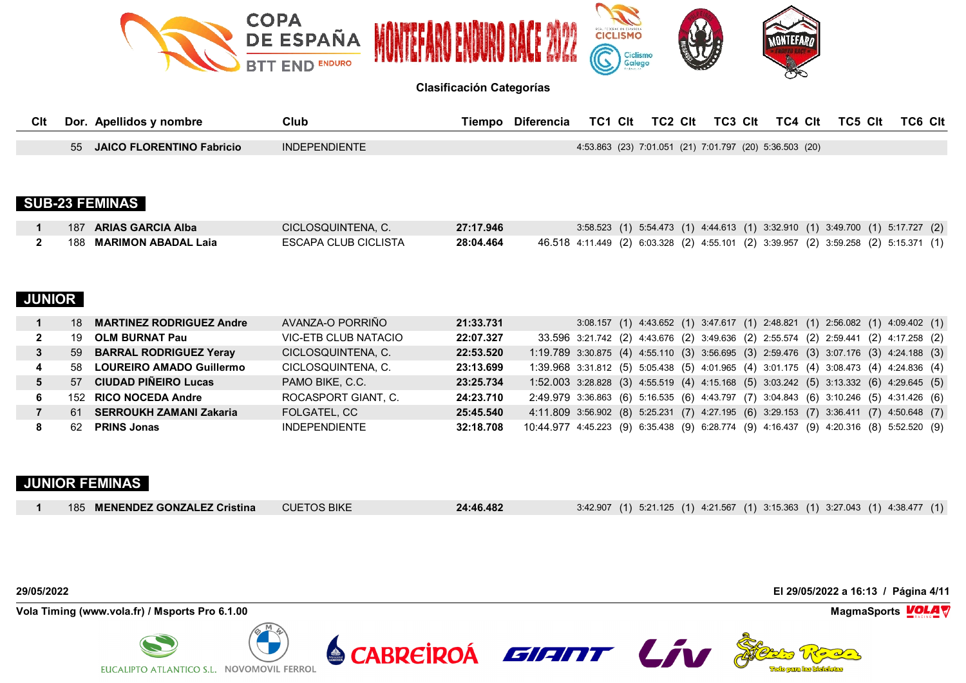

| Clt | Dor.<br>Apellidos y nombre             | Club                 | <b>Diferencia</b><br>⊺iempo | TC1 CIt | TC2 CIt | TC3 CIt                                                 | TC4 Clt | TC5 Clt | <b>TC6 CIt</b> |
|-----|----------------------------------------|----------------------|-----------------------------|---------|---------|---------------------------------------------------------|---------|---------|----------------|
|     |                                        |                      |                             |         |         |                                                         |         |         |                |
|     | 55<br><b>JAICO FLORENTINO Fabricio</b> | <b>INDEPENDIENTE</b> |                             |         |         | 4:53.863 (23) 7:01.051 (21) 7:01.797 (20) 5:36.503 (20) |         |         |                |

# **SUB-23 FEMINAS**

| 187 ARIAS GARCIA Alba          | CICLOSQUINTENA, C.   | 27:17.946 | 3:58.523 (1) 5:54.473 (1) 4:44.613 (1) 3:32.910 (1) 3:49.700 (1) 5:17.727 (2)        |
|--------------------------------|----------------------|-----------|--------------------------------------------------------------------------------------|
| 188 <b>MARIMON ABADAL Laia</b> | ESCAPA CLUB CICLISTA | 28:04.464 | 46.518 4:11.449 (2) 6:03.328 (2) 4:55.101 (2) 3:39.957 (2) 3:59.258 (2) 5:15.371 (1) |

# **JUNIOR**

| <b>MARTINEZ RODRIGUEZ Andre</b><br>18 | AVANZA-O PORRIÑO     | 21:33.731 | 3:08.157 (1) 4:43.652 (1) 3:47.617 (1) 2:48.821 (1) 2:56.082 (1) 4:09.402 (1)           |
|---------------------------------------|----------------------|-----------|-----------------------------------------------------------------------------------------|
| OLM BURNAT Pau<br>19                  | VIC-ETB CLUB NATACIO | 22:07.327 | 33.596 3:21.742 (2) 4:43.676 (2) 3:49.636 (2) 2:55.574 (2) 2:59.441 (2) 4:17.258 (2)    |
| <b>BARRAL RODRIGUEZ Yeray</b><br>59   | CICLOSQUINTENA. C.   | 22:53.520 | 1:19.789 3:30.875 (4) 4:55.110 (3) 3:56.695 (3) 2:59.476 (3) 3:07.176 (3) 4:24.188 (3)  |
| LOUREIRO AMADO Guillermo<br>58.       | CICLOSQUINTENA. C.   | 23:13.699 | 1:39.968 3:31.812 (5) 5:05.438 (5) 4:01.965 (4) 3:01.175 (4) 3:08.473 (4) 4:24.836 (4)  |
| 57 CIUDAD PIÑEIRO Lucas               | PAMO BIKE, C.C.      | 23:25.734 | 1:52.003 3:28.828 (3) 4:55.519 (4) 4:15.168 (5) 3:03.242 (5) 3:13.332 (6) 4:29.645 (5)  |
| 152 RICO NOCEDA Andre                 | ROCASPORT GIANT, C.  | 24:23.710 | 2:49.979 3:36.863 (6) 5:16.535 (6) 4:43.797 (7) 3:04.843 (6) 3:10.246 (5) 4:31.426 (6)  |
| 61 SERROUKH ZAMANI Zakaria            | FOLGATEL, CC         | 25:45.540 | 4:11.809 3:56.902 (8) 5:25.231 (7) 4:27.195 (6) 3:29.153 (7) 3:36.411 (7) 4:50.648 (7)  |
| <b>PRINS Jonas</b><br>62.             | <b>INDEPENDIENTE</b> | 32:18.708 | 10:44.977 4:45.223 (9) 6:35.438 (9) 6:28.774 (9) 4:16.437 (9) 4:20.316 (8) 5:52.520 (9) |

# **JUNIOR FEMINAS**

| 3:42.907 (1) 5:21.125 (1) 4:21.567 (1) 3:15.363 (1) 3:27.043 (1) 4:38.477 (1)<br>185 MENENDEZ GONZALEZ Cristina<br><b>CUETOS BIKE</b><br>24:46.482 |  |
|----------------------------------------------------------------------------------------------------------------------------------------------------|--|
|----------------------------------------------------------------------------------------------------------------------------------------------------|--|

**Vola Timing (www.vola.fr) / Msports Pro 6.1.00 MagmaSports VOLA** 



**29/05/2022 El 29/05/2022 a 16:13 / Página 4/11**



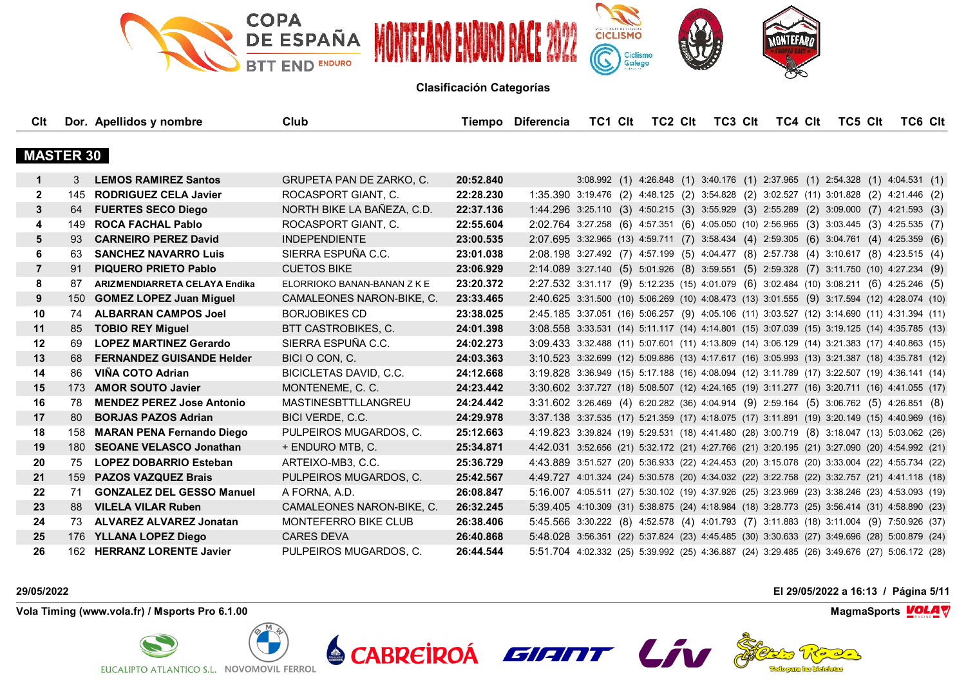

| Clt              |     | Dor. Apellidos y nombre              | Club                          |           | Tiempo Diferencia                                                                            |  | TC1 Clt TC2 Clt |  | TC3 CIt TC4 CIt | TC5 Clt                                                                       | <b>TC6 CIt</b> |  |
|------------------|-----|--------------------------------------|-------------------------------|-----------|----------------------------------------------------------------------------------------------|--|-----------------|--|-----------------|-------------------------------------------------------------------------------|----------------|--|
|                  |     |                                      |                               |           |                                                                                              |  |                 |  |                 |                                                                               |                |  |
| <b>MASTER 30</b> |     |                                      |                               |           |                                                                                              |  |                 |  |                 |                                                                               |                |  |
| 1                | 3   | <b>LEMOS RAMIREZ Santos</b>          | GRUPETA PAN DE ZARKO, C.      | 20:52.840 |                                                                                              |  |                 |  |                 | 3:08.992 (1) 4:26.848 (1) 3:40.176 (1) 2:37.965 (1) 2:54.328 (1) 4:04.531 (1) |                |  |
| $\mathbf{2}$     |     | 145 RODRIGUEZ CELA Javier            | ROCASPORT GIANT, C.           | 22:28.230 | 1:35.390 3:19.476 (2) 4:48.125 (2) 3:54.828 (2) 3:02.527 (11) 3:01.828 (2) 4:21.446 (2)      |  |                 |  |                 |                                                                               |                |  |
| 3                | 64  | <b>FUERTES SECO Diego</b>            | NORTH BIKE LA BAÑEZA, C.D.    | 22:37.136 | 1:44.296 3:25.110 (3) 4:50.215 (3) 3:55.929 (3) 2:55.289 (2) 3:09.000 (7) 4:21.593 (3)       |  |                 |  |                 |                                                                               |                |  |
| 4                | 149 | <b>ROCA FACHAL Pablo</b>             | ROCASPORT GIANT, C.           | 22:55.604 | 2:02.764 3:27.258 (6) 4:57.351 (6) 4:05.050 (10) 2:56.965 (3) 3:03.445 (3) 4:25.535 (7)      |  |                 |  |                 |                                                                               |                |  |
| 5                | 93  | <b>CARNEIRO PEREZ David</b>          | <b>INDEPENDIENTE</b>          | 23:00.535 | 2:07.695 3:32.965 (13) 4:59.711 (7) 3:58.434 (4) 2:59.305 (6) 3:04.761 (4) 4:25.359 (6)      |  |                 |  |                 |                                                                               |                |  |
| 6                | 63  | <b>SANCHEZ NAVARRO Luis</b>          | SIERRA ESPUÑA C.C.            | 23:01.038 | 2:08.198 3:27.492 (7) 4:57.199 (5) 4:04.477 (8) 2:57.738 (4) 3:10.617 (8) 4:23.515 (4)       |  |                 |  |                 |                                                                               |                |  |
| $\overline{7}$   | 91  | <b>PIQUERO PRIETO Pablo</b>          | <b>CUETOS BIKE</b>            | 23:06.929 | 2:14.089 3:27.140 (5) 5:01.926 (8) 3:59.551 (5) 2:59.328 (7) 3:11.750 (10) 4:27.234 (9)      |  |                 |  |                 |                                                                               |                |  |
| 8                | 87  | <b>ARIZMENDIARRETA CELAYA Endika</b> | ELORRIOKO BANAN-BANAN Z K E   | 23:20.372 | 2:27.532 3:31.117 (9) 5:12.235 (15) 4:01.079 (6) 3:02.484 (10) 3:08.211 (6) 4:25.246 (5)     |  |                 |  |                 |                                                                               |                |  |
| 9                | 150 | <b>GOMEZ LOPEZ Juan Miquel</b>       | CAMALEONES NARON-BIKE, C.     | 23:33.465 | 2:40.625 3:31.500 (10) 5:06.269 (10) 4:08.473 (13) 3:01.555 (9) 3:17.594 (12) 4:28.074 (10)  |  |                 |  |                 |                                                                               |                |  |
| 10               | 74  | <b>ALBARRAN CAMPOS Joel</b>          | <b>BORJOBIKES CD</b>          | 23:38.025 | 2:45.185 3:37.051 (16) 5:06.257 (9) 4:05.106 (11) 3:03.527 (12) 3:14.690 (11) 4:31.394 (11)  |  |                 |  |                 |                                                                               |                |  |
| 11               | 85  | <b>TOBIO REY Miguel</b>              | BTT CASTROBIKES, C.           | 24:01.398 | 3:08.558 3:33.531 (14) 5:11.117 (14) 4:14.801 (15) 3:07.039 (15) 3:19.125 (14) 4:35.785 (13) |  |                 |  |                 |                                                                               |                |  |
| 12               | 69  | <b>LOPEZ MARTINEZ Gerardo</b>        | SIERRA ESPUÑA C.C.            | 24:02.273 | 3:09.433 3:32.488 (11) 5:07.601 (11) 4:13.809 (14) 3:06.129 (14) 3:21.383 (17) 4:40.863 (15) |  |                 |  |                 |                                                                               |                |  |
| 13               | 68  | <b>FERNANDEZ GUISANDE Helder</b>     | BICI O CON, C.                | 24:03.363 | 3:10.523 3:32.699 (12) 5:09.886 (13) 4:17.617 (16) 3:05.993 (13) 3:21.387 (18) 4:35.781 (12) |  |                 |  |                 |                                                                               |                |  |
| 14               | 86  | VIÑA COTO Adrian                     | <b>BICICLETAS DAVID, C.C.</b> | 24:12.668 | 3:19.828 3:36.949 (15) 5:17.188 (16) 4:08.094 (12) 3:11.789 (17) 3:22.507 (19) 4:36.141 (14) |  |                 |  |                 |                                                                               |                |  |
| 15               | 173 | <b>AMOR SOUTO Javier</b>             | MONTENEME, C. C.              | 24:23.442 | 3:30.602 3:37.727 (18) 5:08.507 (12) 4:24.165 (19) 3:11.277 (16) 3:20.711 (16) 4:41.055 (17) |  |                 |  |                 |                                                                               |                |  |
| 16               | 78  | <b>MENDEZ PEREZ Jose Antonio</b>     | <b>MASTINESBTTLLANGREU</b>    | 24:24.442 | 3:31.602 3:26.469 (4) 6:20.282 (36) 4:04.914 (9) 2:59.164 (5) 3:06.762 (5) 4:26.851 (8)      |  |                 |  |                 |                                                                               |                |  |
| 17               | 80  | <b>BORJAS PAZOS Adrian</b>           | BICI VERDE, C.C.              | 24:29.978 | 3:37.138 3:37.535 (17) 5:21.359 (17) 4:18.075 (17) 3:11.891 (19) 3:20.149 (15) 4:40.969 (16) |  |                 |  |                 |                                                                               |                |  |
| 18               | 158 | <b>MARAN PENA Fernando Diego</b>     | PULPEIROS MUGARDOS, C.        | 25:12.663 | 4:19.823 3:39.824 (19) 5:29.531 (18) 4:41.480 (28) 3:00.719 (8) 3:18.047 (13) 5:03.062 (26)  |  |                 |  |                 |                                                                               |                |  |
| 19               |     | 180 SEOANE VELASCO Jonathan          | + ENDURO MTB, C.              | 25:34.871 | 4:42.031 3:52.656 (21) 5:32.172 (21) 4:27.766 (21) 3:20.195 (21) 3:27.090 (20) 4:54.992 (21) |  |                 |  |                 |                                                                               |                |  |
| 20               | 75  | <b>LOPEZ DOBARRIO Esteban</b>        | ARTEIXO-MB3, C.C.             | 25:36.729 | 4:43.889 3:51.527 (20) 5:36.933 (22) 4:24.453 (20) 3:15.078 (20) 3:33.004 (22) 4:55.734 (22) |  |                 |  |                 |                                                                               |                |  |
| 21               |     | 159 PAZOS VAZQUEZ Brais              | PULPEIROS MUGARDOS, C.        | 25:42.567 | 4:49.727 4:01.324 (24) 5:30.578 (20) 4:34.032 (22) 3:22.758 (22) 3:32.757 (21) 4:41.118 (18) |  |                 |  |                 |                                                                               |                |  |
| 22               | 71  | <b>GONZALEZ DEL GESSO Manuel</b>     | A FORNA, A.D.                 | 26:08.847 | 5:16.007 4:05.511 (27) 5:30.102 (19) 4:37.926 (25) 3:23.969 (23) 3:38.246 (23) 4:53.093 (19) |  |                 |  |                 |                                                                               |                |  |
| 23               | 88  | <b>VILELA VILAR Ruben</b>            | CAMALEONES NARON-BIKE, C.     | 26:32.245 | 5:39.405 4:10.309 (31) 5:38.875 (24) 4:18.984 (18) 3:28.773 (25) 3:56.414 (31) 4:58.890 (23) |  |                 |  |                 |                                                                               |                |  |
| 24               | 73  | <b>ALVAREZ ALVAREZ Jonatan</b>       | MONTEFERRO BIKE CLUB          | 26:38.406 | 5:45.566 3:30.222 (8) 4:52.578 (4) 4:01.793 (7) 3:11.883 (18) 3:11.004 (9) 7:50.926 (37)     |  |                 |  |                 |                                                                               |                |  |
| 25               |     | 176 YLLANA LOPEZ Diego               | <b>CARES DEVA</b>             | 26:40.868 | 5:48.028 3:56.351 (22) 5:37.824 (23) 4:45.485 (30) 3:30.633 (27) 3:49.696 (28) 5:00.879 (24) |  |                 |  |                 |                                                                               |                |  |
| 26               | 162 | <b>HERRANZ LORENTE Javier</b>        | PULPEIROS MUGARDOS, C.        | 26:44.544 | 5:51.704 4:02.332 (25) 5:39.992 (25) 4:36.887 (24) 3:29.485 (26) 3:49.676 (27) 5:06.172 (28) |  |                 |  |                 |                                                                               |                |  |

**Vola Timing (www.vola.fr) / Msports Pro 6.1.00 MagmaSports VOLA** 



**29/05/2022 El 29/05/2022 a 16:13 / Página 5/11**



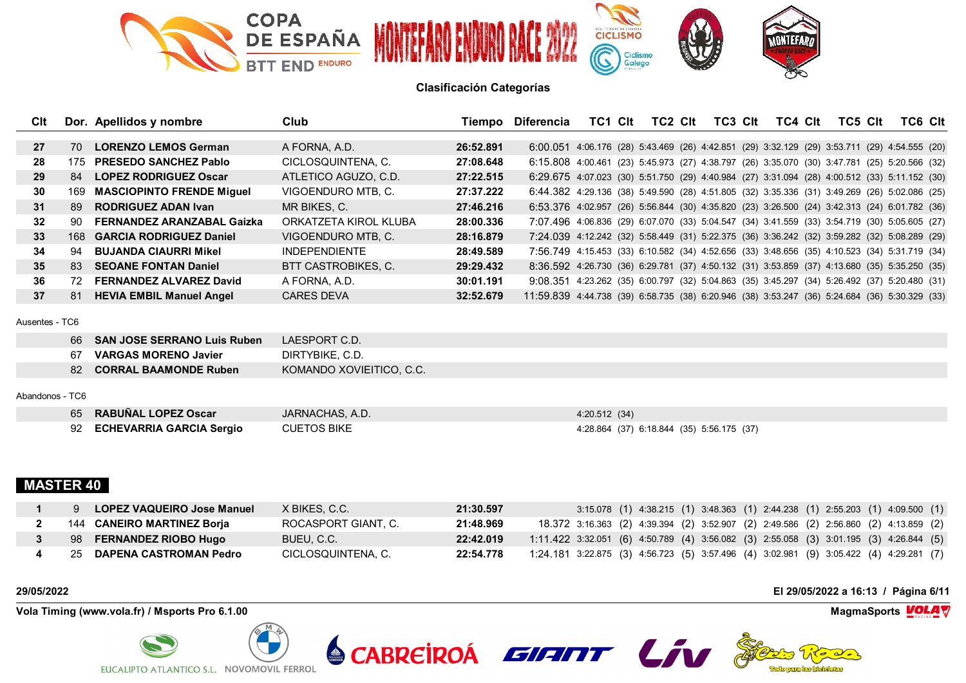

| Clt             |     | Dor. Apellidos y nombre           | Club                  | Tiempo    | Diferencia                                                                                    | TC1. | Clt | TC <sub>2</sub> C <sub>It</sub> | TC3 Clt | TC4 Clt | TC5 Clt | <b>TC6 CIt</b> |  |
|-----------------|-----|-----------------------------------|-----------------------|-----------|-----------------------------------------------------------------------------------------------|------|-----|---------------------------------|---------|---------|---------|----------------|--|
|                 |     |                                   |                       |           |                                                                                               |      |     |                                 |         |         |         |                |  |
| 27              | 70  | <b>LORENZO LEMOS German</b>       | A FORNA, A.D.         | 26:52.891 | 6:00.051 4:06.176 (28) 5:43.469 (26) 4:42.851 (29) 3:32.129 (29) 3:53.711 (29) 4:54.555 (20)  |      |     |                                 |         |         |         |                |  |
| 28              | 175 | <b>PRESEDO SANCHEZ Pablo</b>      | CICLOSQUINTENA, C.    | 27:08.648 | 6:15.808 4:00.461 (23) 5:45.973 (27) 4:38.797 (26) 3:35.070 (30) 3:47.781 (25) 5:20.566 (32)  |      |     |                                 |         |         |         |                |  |
| 29              | 84  | <b>LOPEZ RODRIGUEZ Oscar</b>      | ATLETICO AGUZO, C.D.  | 27:22.515 | 6:29.675 4:07.023 (30) 5:51.750 (29) 4:40.984 (27) 3:31.094 (28) 4:00.512 (33) 5:11.152 (30)  |      |     |                                 |         |         |         |                |  |
| 30              | 169 | <b>MASCIOPINTO FRENDE Miguel</b>  | VIGOENDURO MTB, C.    | 27:37.222 | 6:44.382 4:29.136 (38) 5:49.590 (28) 4:51.805 (32) 3:35.336 (31) 3:49.269 (26) 5:02.086 (25)  |      |     |                                 |         |         |         |                |  |
| 31              | 89  | <b>RODRIGUEZ ADAN Ivan</b>        | MR BIKES, C.          | 27:46.216 | 6:53.376 4:02.957 (26) 5:56.844 (30) 4:35.820 (23) 3:26.500 (24) 3:42.313 (24) 6:01.782 (36)  |      |     |                                 |         |         |         |                |  |
| 32 <sub>2</sub> | -90 | <b>FERNANDEZ ARANZABAL Gaizka</b> | ORKATZETA KIROL KLUBA | 28:00.336 | 7:07.496 4:06.836 (29) 6:07.070 (33) 5:04.547 (34) 3:41.559 (33) 3:54.719 (30) 5:05.605 (27)  |      |     |                                 |         |         |         |                |  |
| 33 <sup>3</sup> |     | 168 GARCIA RODRIGUEZ Daniel       | VIGOENDURO MTB, C.    | 28:16.879 | 7:24.039 4:12.242 (32) 5:58.449 (31) 5:22.375 (36) 3:36.242 (32) 3:59.282 (32) 5:08.289 (29)  |      |     |                                 |         |         |         |                |  |
| 34              | -94 | <b>BUJANDA CIAURRI Mikel</b>      | <b>INDEPENDIENTE</b>  | 28:49.589 | 7:56.749 4:15.453 (33) 6:10.582 (34) 4:52.656 (33) 3:48.656 (35) 4:10.523 (34) 5:31.719 (34)  |      |     |                                 |         |         |         |                |  |
| 35              | 83  | <b>SEOANE FONTAN Daniel</b>       | BTT CASTROBIKES, C.   | 29:29.432 | 8:36.592 4:26.730 (36) 6:29.781 (37) 4:50.132 (31) 3:53.859 (37) 4:13.680 (35) 5:35.250 (35)  |      |     |                                 |         |         |         |                |  |
| 36              | 72  | <b>FERNANDEZ ALVAREZ David</b>    | A FORNA, A.D.         | 30:01.191 | 9:08.351 4:23.262 (35) 6:00.797 (32) 5:04.863 (35) 3:45.297 (34) 5:26.492 (37) 5:20.480 (31)  |      |     |                                 |         |         |         |                |  |
| 37              | 81  | <b>HEVIA EMBIL Manuel Angel</b>   | <b>CARES DEVA</b>     | 32:52.679 | 11:59.839 4:44.738 (39) 6:58.735 (38) 6:20.946 (38) 3:53.247 (36) 5:24.684 (36) 5:30.329 (33) |      |     |                                 |         |         |         |                |  |
| Ausentes - TC6  |     |                                   |                       |           |                                                                                               |      |     |                                 |         |         |         |                |  |

### Ausentes - TC6

| -66   | <b>SAN JOSE SERRANO Luis Ruben</b> | LAESPORT C.D.            |
|-------|------------------------------------|--------------------------|
| -67   | <b>VARGAS MORENO Javier</b>        | DIRTYBIKE, C.D.          |
| -82 - | <b>CORRAL BAAMONDE Ruben</b>       | KOMANDO XOVIEITICO, C.C. |

## Abandonos - TC6

| 65 RABUÑAL LOPEZ Oscar      | JARNACHAS, A.D.    | 4:20.512(34)                              |
|-----------------------------|--------------------|-------------------------------------------|
| 92 ECHEVARRIA GARCIA Sergio | <b>CUETOS BIKE</b> | 4:28.864 (37) 6:18.844 (35) 5:56.175 (37) |

# **MASTER 40**

| LOPEZ VAQUEIRO Jose Manuel | X BIKES. C.C.       | 21:30.597 | 3:15.078 (1) 4:38.215 (1) 3:48.363 (1) 2:44.238 (1) 2:55.203 (1) 4:09.500 (1)            |
|----------------------------|---------------------|-----------|------------------------------------------------------------------------------------------|
| 144 CANEIRO MARTINEZ Boria | ROCASPORT GIANT. C. | 21:48.969 | 18.372 3:16.363 (2) 4:39.394 (2) 3:52.907 (2) 2:49.586 (2) 2:56.860 (2) 4:13.859 (2)     |
| 98 FERNANDEZ RIOBO Hugo    | BUEU, C.C.          | 22:42.019 | $1:11.422$ 3:32.051 (6) 4:50.789 (4) 3:56.082 (3) 2:55.058 (3) 3:01.195 (3) 4:26.844 (5) |
| 25 DAPENA CASTROMAN Pedro  | CICLOSQUINTENA, C.  | 22:54.778 | 1:24.181 3:22.875 (3) 4:56.723 (5) 3:57.496 (4) 3:02.981 (9) 3:05.422 (4) 4:29.281 (7)   |

**Vola Timing (www.vola.fr) / Msports Pro 6.1.00 MagmaSports VOLA** 



**29/05/2022 El 29/05/2022 a 16:13 / Página 6/11**



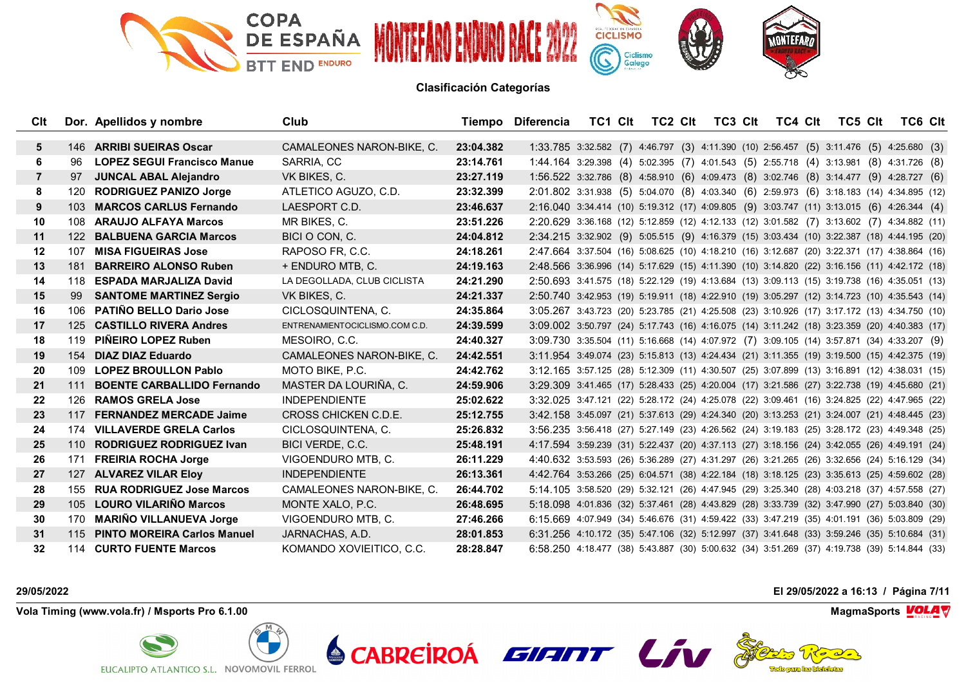

| Clt            |     | Dor. Apellidos y nombre            | Club                           |           | Tiempo Diferencia                                                                            |  | TC1 CIt TC2 CIt | TC3 Clt | TC4 Clt | TC5 CIt | <b>TC6 CIt</b> |  |
|----------------|-----|------------------------------------|--------------------------------|-----------|----------------------------------------------------------------------------------------------|--|-----------------|---------|---------|---------|----------------|--|
|                |     |                                    |                                |           |                                                                                              |  |                 |         |         |         |                |  |
| 5              |     | 146 ARRIBI SUEIRAS Oscar           | CAMALEONES NARON-BIKE, C.      | 23:04.382 | 1:33.785 3:32.582 (7) 4:46.797 (3) 4:11.390 (10) 2:56.457 (5) 3:11.476 (5) 4:25.680 (3)      |  |                 |         |         |         |                |  |
| 6              | 96  | <b>LOPEZ SEGUI Francisco Manue</b> | SARRIA, CC                     | 23:14.761 | 1:44.164 3:29.398 (4) 5:02.395 (7) 4:01.543 (5) 2:55.718 (4) 3:13.981 (8) 4:31.726 (8)       |  |                 |         |         |         |                |  |
| $\overline{7}$ | 97  | <b>JUNCAL ABAL Alejandro</b>       | VK BIKES, C.                   | 23:27.119 | 1:56.522 3:32.786 (8) 4:58.910 (6) 4:09.473 (8) 3:02.746 (8) 3:14.477 (9) 4:28.727 (6)       |  |                 |         |         |         |                |  |
| 8              | 120 | <b>RODRIGUEZ PANIZO Jorge</b>      | ATLETICO AGUZO, C.D.           | 23:32.399 | 2:01.802 3:31.938 (5) 5:04.070 (8) 4:03.340 (6) 2:59.973 (6) 3:18.183 (14) 4:34.895 (12)     |  |                 |         |         |         |                |  |
| 9              | 103 | <b>MARCOS CARLUS Fernando</b>      | LAESPORT C.D.                  | 23:46.637 | 2:16.040 3:34.414 (10) 5:19.312 (17) 4:09.805 (9) 3:03.747 (11) 3:13.015 (6) 4:26.344 (4)    |  |                 |         |         |         |                |  |
| 10             | 108 | <b>ARAUJO ALFAYA Marcos</b>        | MR BIKES, C.                   | 23:51.226 | 2:20.629 3:36.168 (12) 5:12.859 (12) 4:12.133 (12) 3:01.582 (7) 3:13.602 (7) 4:34.882 (11)   |  |                 |         |         |         |                |  |
| 11             | 122 | <b>BALBUENA GARCIA Marcos</b>      | BICI O CON, C.                 | 24:04.812 | 2:34.215 3:32.902 (9) 5:05.515 (9) 4:16.379 (15) 3:03.434 (10) 3:22.387 (18) 4:44.195 (20)   |  |                 |         |         |         |                |  |
| 12             | 107 | <b>MISA FIGUEIRAS Jose</b>         | RAPOSO FR. C.C.                | 24:18.261 | 2:47.664 3:37.504 (16) 5:08.625 (10) 4:18.210 (16) 3:12.687 (20) 3:22.371 (17) 4:38.864 (16) |  |                 |         |         |         |                |  |
| 13             | 181 | <b>BARREIRO ALONSO Ruben</b>       | + ENDURO MTB, C.               | 24:19.163 | 2:48.566 3:36.996 (14) 5:17.629 (15) 4:11.390 (10) 3:14.820 (22) 3:16.156 (11) 4:42.172 (18) |  |                 |         |         |         |                |  |
| 14             | 118 | <b>ESPADA MARJALIZA David</b>      | LA DEGOLLADA, CLUB CICLISTA    | 24:21.290 | 2:50.693 3:41.575 (18) 5:22.129 (19) 4:13.684 (13) 3:09.113 (15) 3:19.738 (16) 4:35.051 (13) |  |                 |         |         |         |                |  |
| 15             | 99  | <b>SANTOME MARTINEZ Sergio</b>     | VK BIKES, C.                   | 24:21.337 | 2:50.740 3:42.953 (19) 5:19.911 (18) 4:22.910 (19) 3:05.297 (12) 3:14.723 (10) 4:35.543 (14) |  |                 |         |         |         |                |  |
| 16             | 106 | <b>PATIÑO BELLO Dario Jose</b>     | CICLOSQUINTENA, C.             | 24:35.864 | 3:05.267 3:43.723 (20) 5:23.785 (21) 4:25.508 (23) 3:10.926 (17) 3:17.172 (13) 4:34.750 (10) |  |                 |         |         |         |                |  |
| 17             | 125 | <b>CASTILLO RIVERA Andres</b>      | ENTRENAMIENTOCICLISMO.COM C.D. | 24:39.599 | 3:09.002 3:50.797 (24) 5:17.743 (16) 4:16.075 (14) 3:11.242 (18) 3:23.359 (20) 4:40.383 (17) |  |                 |         |         |         |                |  |
| 18             | 119 | <b>PIÑEIRO LOPEZ Ruben</b>         | MESOIRO, C.C.                  | 24:40.327 | 3:09.730 3:35.504 (11) 5:16.668 (14) 4:07.972 (7) 3:09.105 (14) 3:57.871 (34) 4:33.207 (9)   |  |                 |         |         |         |                |  |
| 19             |     | 154 DIAZ DIAZ Eduardo              | CAMALEONES NARON-BIKE, C.      | 24:42.551 | 3:11.954 3:49.074 (23) 5:15.813 (13) 4:24.434 (21) 3:11.355 (19) 3:19.500 (15) 4:42.375 (19) |  |                 |         |         |         |                |  |
| 20             |     | 109 LOPEZ BROULLON Pablo           | MOTO BIKE, P.C.                | 24:42.762 | 3:12.165 3:57.125 (28) 5:12.309 (11) 4:30.507 (25) 3:07.899 (13) 3:16.891 (12) 4:38.031 (15) |  |                 |         |         |         |                |  |
| 21             | 111 | <b>BOENTE CARBALLIDO Fernando</b>  | MASTER DA LOURIÑA, C.          | 24:59.906 | 3:29.309 3:41.465 (17) 5:28.433 (25) 4:20.004 (17) 3:21.586 (27) 3:22.738 (19) 4:45.680 (21) |  |                 |         |         |         |                |  |
| 22             | 126 | <b>RAMOS GRELA Jose</b>            | <b>INDEPENDIENTE</b>           | 25:02.622 | 3:32.025 3:47.121 (22) 5:28.172 (24) 4:25.078 (22) 3:09.461 (16) 3:24.825 (22) 4:47.965 (22) |  |                 |         |         |         |                |  |
| 23             |     | 117 FERNANDEZ MERCADE Jaime        | CROSS CHICKEN C.D.E.           | 25:12.755 | 3:42.158 3:45.097 (21) 5:37.613 (29) 4:24.340 (20) 3:13.253 (21) 3:24.007 (21) 4:48.445 (23) |  |                 |         |         |         |                |  |
| 24             | 174 | <b>VILLAVERDE GRELA Carlos</b>     | CICLOSQUINTENA, C.             | 25:26.832 | 3:56.235 3:56.418 (27) 5:27.149 (23) 4:26.562 (24) 3:19.183 (25) 3:28.172 (23) 4:49.348 (25) |  |                 |         |         |         |                |  |
| 25             |     | 110 RODRIGUEZ RODRIGUEZ Ivan       | BICI VERDE, C.C.               | 25:48.191 | 4:17.594 3:59.239 (31) 5:22.437 (20) 4:37.113 (27) 3:18.156 (24) 3:42.055 (26) 4:49.191 (24) |  |                 |         |         |         |                |  |
| 26             | 171 | <b>FREIRIA ROCHA Jorge</b>         | VIGOENDURO MTB, C.             | 26:11.229 | 4:40.632 3:53.593 (26) 5:36.289 (27) 4:31.297 (26) 3:21.265 (26) 3:32.656 (24) 5:16.129 (34) |  |                 |         |         |         |                |  |
| 27             | 127 | <b>ALVAREZ VILAR Eloy</b>          | <b>INDEPENDIENTE</b>           | 26:13.361 | 4:42.764 3:53.266 (25) 6:04.571 (38) 4:22.184 (18) 3:18.125 (23) 3:35.613 (25) 4:59.602 (28) |  |                 |         |         |         |                |  |
| 28             | 155 | <b>RUA RODRIGUEZ Jose Marcos</b>   | CAMALEONES NARON-BIKE, C.      | 26:44.702 | 5:14.105 3:58.520 (29) 5:32.121 (26) 4:47.945 (29) 3:25.340 (28) 4:03.218 (37) 4:57.558 (27) |  |                 |         |         |         |                |  |
| 29             |     | 105 LOURO VILARIÑO Marcos          | MONTE XALO, P.C.               | 26:48.695 | 5:18.098 4:01.836 (32) 5:37.461 (28) 4:43.829 (28) 3:33.739 (32) 3:47.990 (27) 5:03.840 (30) |  |                 |         |         |         |                |  |
| 30             | 170 | <b>MARIÑO VILLANUEVA Jorge</b>     | VIGOENDURO MTB, C.             | 27:46.266 | 6:15.669 4:07.949 (34) 5:46.676 (31) 4:59.422 (33) 3:47.219 (35) 4:01.191 (36) 5:03.809 (29) |  |                 |         |         |         |                |  |
| 31             |     | 115 PINTO MOREIRA Carlos Manuel    | JARNACHAS, A.D.                | 28:01.853 | 6:31.256 4:10.172 (35) 5:47.106 (32) 5:12.997 (37) 3:41.648 (33) 3:59.246 (35) 5:10.684 (31) |  |                 |         |         |         |                |  |
| 32             |     | 114 CURTO FUENTE Marcos            | KOMANDO XOVIEITICO, C.C.       | 28:28.847 | 6:58.250 4:18.477 (38) 5:43.887 (30) 5:00.632 (34) 3:51.269 (37) 4:19.738 (39) 5:14.844 (33) |  |                 |         |         |         |                |  |

**Vola Timing (www.vola.fr) / Msports Pro 6.1.00 MagmaSports VOLA** 

EUCALIPTO ATLANTICO S.L. NOVOMOVIL FERROL

**29/05/2022 El 29/05/2022 a 16:13 / Página 7/11**



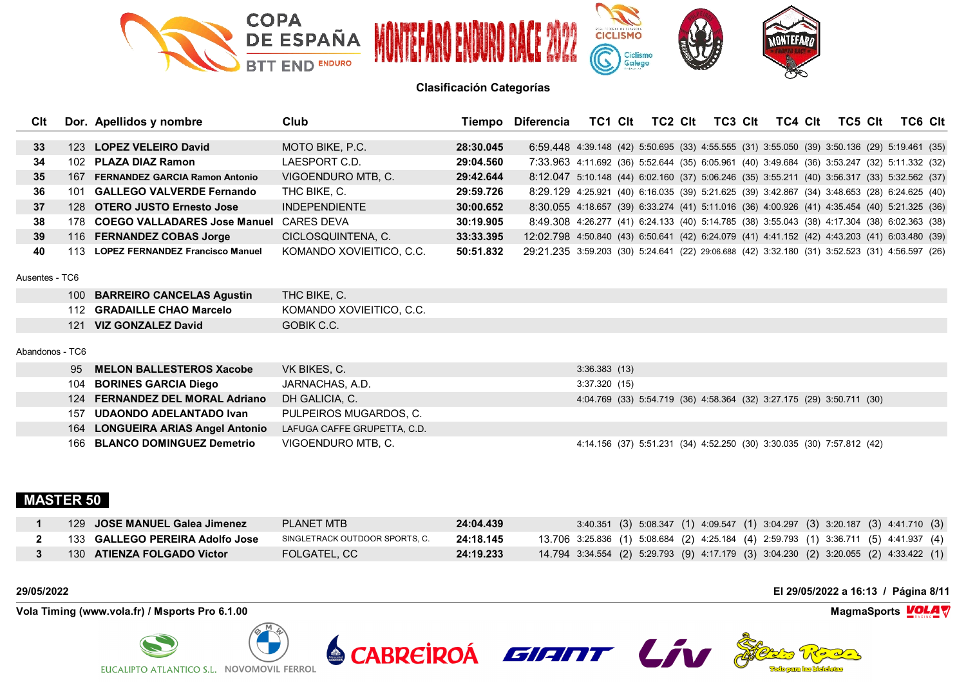

| Clt             |     | Dor. Apellidos y nombre              | Club                        |           | Tiempo Diferencia                                                                              |              | TC1 CIt TC2 CIt | TC3 Clt                                                               | TC4 Clt | TC5 Clt | TC6 CIt |  |
|-----------------|-----|--------------------------------------|-----------------------------|-----------|------------------------------------------------------------------------------------------------|--------------|-----------------|-----------------------------------------------------------------------|---------|---------|---------|--|
|                 |     |                                      |                             |           |                                                                                                |              |                 |                                                                       |         |         |         |  |
| 33 <sup>3</sup> |     | 123 LOPEZ VELEIRO David              | MOTO BIKE, P.C.             | 28:30.045 | 6:59.448 4:39.148 (42) 5:50.695 (33) 4:55.555 (31) 3:55.050 (39) 3:50.136 (29) 5:19.461 (35)   |              |                 |                                                                       |         |         |         |  |
| 34              |     | 102 PLAZA DIAZ Ramon                 | LAESPORT C.D.               | 29:04.560 | 7:33.963 4:11.692 (36) 5:52.644 (35) 6:05.961 (40) 3:49.684 (36) 3:53.247 (32) 5:11.332 (32)   |              |                 |                                                                       |         |         |         |  |
| 35 <sub>5</sub> |     | 167 FERNANDEZ GARCIA Ramon Antonio   | VIGOENDURO MTB, C.          | 29:42.644 | 8:12.047 5:10.148 (44) 6:02.160 (37) 5:06.246 (35) 3:55.211 (40) 3:56.317 (33) 5:32.562 (37)   |              |                 |                                                                       |         |         |         |  |
| 36              |     | 101 GALLEGO VALVERDE Fernando        | THC BIKE, C.                | 29:59.726 | 8:29.129 4:25.921 (40) 6:16.035 (39) 5:21.625 (39) 3:42.867 (34) 3:48.653 (28) 6:24.625 (40)   |              |                 |                                                                       |         |         |         |  |
| 37              |     | 128 OTERO JUSTO Ernesto Jose         | <b>INDEPENDIENTE</b>        | 30:00.652 | 8:30.055 4:18.657 (39) 6:33.274 (41) 5:11.016 (36) 4:00.926 (41) 4:35.454 (40) 5:21.325 (36)   |              |                 |                                                                       |         |         |         |  |
| 38              |     | 178 COEGO VALLADARES Jose Manuel     | CARES DEVA                  | 30:19.905 | 8:49.308 4:26.277 (41) 6:24.133 (40) 5:14.785 (38) 3:55.043 (38) 4:17.304 (38) 6:02.363 (38)   |              |                 |                                                                       |         |         |         |  |
| 39              |     | 116 FERNANDEZ COBAS Jorge            | CICLOSQUINTENA, C.          | 33:33.395 | 12:02.798 4:50.840 (43) 6:50.641 (42) 6:24.079 (41) 4:41.152 (42) 4:43.203 (41) 6:03.480 (39)  |              |                 |                                                                       |         |         |         |  |
| 40              |     | 113 LOPEZ FERNANDEZ Francisco Manuel | KOMANDO XOVIEITICO, C.C.    | 50:51.832 | 29:21.235 3:59.203 (30) 5:24.641 (22) 29:06.688 (42) 3:32.180 (31) 3:52.523 (31) 4:56.597 (26) |              |                 |                                                                       |         |         |         |  |
|                 |     |                                      |                             |           |                                                                                                |              |                 |                                                                       |         |         |         |  |
| Ausentes - TC6  |     |                                      |                             |           |                                                                                                |              |                 |                                                                       |         |         |         |  |
|                 |     | 100 BARREIRO CANCELAS Agustin        | THC BIKE, C.                |           |                                                                                                |              |                 |                                                                       |         |         |         |  |
|                 |     | 112 GRADAILLE CHAO Marcelo           | KOMANDO XOVIEITICO, C.C.    |           |                                                                                                |              |                 |                                                                       |         |         |         |  |
|                 |     | 121 VIZ GONZALEZ David               | GOBIK C.C.                  |           |                                                                                                |              |                 |                                                                       |         |         |         |  |
|                 |     |                                      |                             |           |                                                                                                |              |                 |                                                                       |         |         |         |  |
| Abandonos - TC6 |     |                                      |                             |           |                                                                                                |              |                 |                                                                       |         |         |         |  |
|                 | 95  | <b>MELON BALLESTEROS Xacobe</b>      | VK BIKES, C.                |           |                                                                                                | 3:36.383(13) |                 |                                                                       |         |         |         |  |
|                 | 104 | <b>BORINES GARCIA Diego</b>          | JARNACHAS, A.D.             |           |                                                                                                | 3:37.320(15) |                 |                                                                       |         |         |         |  |
|                 | 124 | <b>FERNANDEZ DEL MORAL Adriano</b>   | DH GALICIA, C.              |           |                                                                                                |              |                 | 4:04.769 (33) 5:54.719 (36) 4:58.364 (32) 3:27.175 (29) 3:50.711 (30) |         |         |         |  |
|                 | 157 | <b>UDAONDO ADELANTADO Ivan</b>       | PULPEIROS MUGARDOS, C.      |           |                                                                                                |              |                 |                                                                       |         |         |         |  |
|                 | 164 | <b>LONGUEIRA ARIAS Angel Antonio</b> | LAFUGA CAFFE GRUPETTA, C.D. |           |                                                                                                |              |                 |                                                                       |         |         |         |  |
|                 |     | 166 BLANCO DOMINGUEZ Demetrio        | VIGOENDURO MTB, C.          |           |                                                                                                |              |                 | 4:14.156 (37) 5:51.231 (34) 4:52.250 (30) 3:30.035 (30) 7:57.812 (42) |         |         |         |  |
|                 |     |                                      |                             |           |                                                                                                |              |                 |                                                                       |         |         |         |  |

# **MASTER 50**

| 129 JOSE MANUEL Galea Jimenez   | PLANET MTB                     | 24:04.439 | 3:40.351 (3) 5:08.347 (1) 4:09.547 (1) 3:04.297 (3) 3:20.187 (3) 4:41.710 (3)        |
|---------------------------------|--------------------------------|-----------|--------------------------------------------------------------------------------------|
| 133 GALLEGO PEREIRA Adolfo Jose | SINGLETRACK OUTDOOR SPORTS. C. | 24:18.145 | 13.706 3:25.836 (1) 5:08.684 (2) 4:25.184 (4) 2:59.793 (1) 3:36.711 (5) 4:41.937 (4) |
| 130 ATIENZA FOLGADO Victor      | <b>FOLGATEL, CC</b>            | 24:19.233 | 14.794 3:34.554 (2) 5:29.793 (9) 4:17.179 (3) 3:04.230 (2) 3:20.055 (2) 4:33.422 (1) |

**Vola Timing (www.vola.fr) / Msports Pro 6.1.00 MagmaSports VOLA** 



**29/05/2022 El 29/05/2022 a 16:13 / Página 8/11**



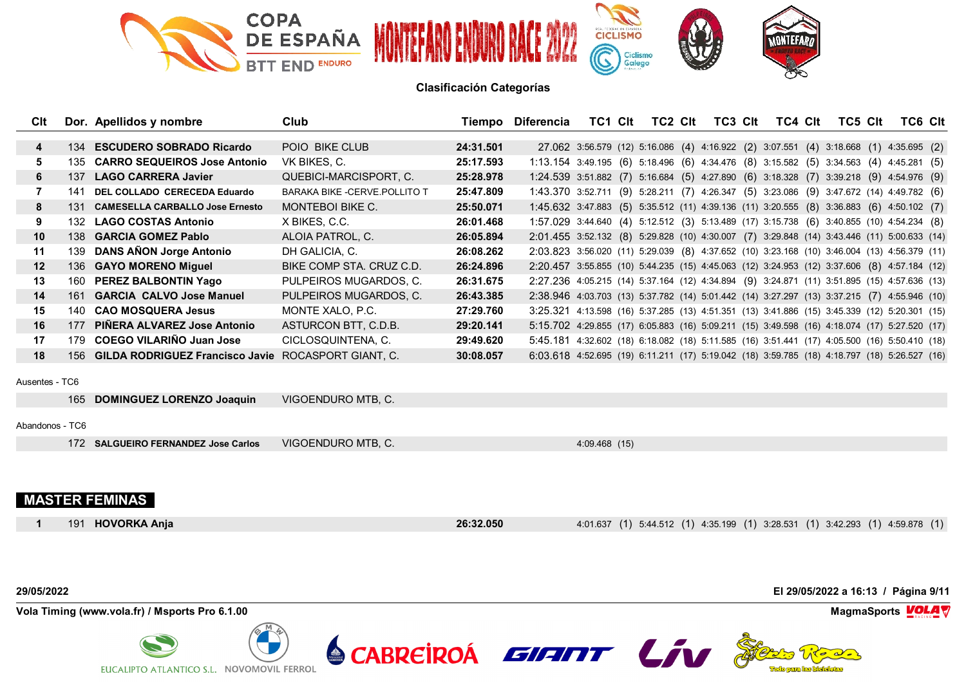

| Clt             |     | Dor. Apellidos y nombre                                 | Club                           |           | Tiempo Diferencia                                                                            | TC1 Clt       | TC2 CIt                                                                               | TC3 Clt | TC4 Clt | TC5 Clt | TC6 Clt |  |
|-----------------|-----|---------------------------------------------------------|--------------------------------|-----------|----------------------------------------------------------------------------------------------|---------------|---------------------------------------------------------------------------------------|---------|---------|---------|---------|--|
|                 |     | 134 ESCUDERO SOBRADO Ricardo                            | POIO BIKE CLUB                 | 24:31.501 |                                                                                              |               | 27.062 3:56.579 (12) 5:16.086 (4) 4:16.922 (2) 3:07.551 (4) 3:18.668 (1) 4:35.695 (2) |         |         |         |         |  |
| 4               |     | 135 CARRO SEQUEIROS Jose Antonio                        |                                |           |                                                                                              |               |                                                                                       |         |         |         |         |  |
| 5               |     |                                                         | VK BIKES, C.                   | 25:17.593 | $1:13.154$ 3:49.195 (6) 5:18.496 (6) 4:34.476 (8) 3:15.582 (5) 3:34.563 (4) 4:45.281 (5)     |               |                                                                                       |         |         |         |         |  |
| 6               | 137 | <b>LAGO CARRERA Javier</b>                              | QUEBICI-MARCISPORT, C.         | 25:28.978 | 1:24.539 3:51.882 (7) 5:16.684 (5) 4:27.890 (6) 3:18.328 (7) 3:39.218 (9) 4:54.976 (9)       |               |                                                                                       |         |         |         |         |  |
| 7               | 141 | DEL COLLADO CERECEDA Eduardo                            | BARAKA BIKE - CERVE. POLLITO T | 25:47.809 | 1:43.370 3:52.711 (9) 5:28.211 (7) 4:26.347 (5) 3:23.086 (9) 3:47.672 (14) 4:49.782 (6)      |               |                                                                                       |         |         |         |         |  |
| 8               |     | 131 CAMESELLA CARBALLO Jose Ernesto                     | <b>MONTEBOI BIKE C.</b>        | 25:50.071 | 1:45.632 3:47.883 (5) 5:35.512 (11) 4:39.136 (11) 3:20.555 (8) 3:36.883 (6) 4:50.102 (7)     |               |                                                                                       |         |         |         |         |  |
| 9               | 132 | <b>LAGO COSTAS Antonio</b>                              | X BIKES, C.C.                  | 26:01.468 | 1:57.029 3:44.640 (4) 5:12.512 (3) 5:13.489 (17) 3:15.738 (6) 3:40.855 (10) 4:54.234 (8)     |               |                                                                                       |         |         |         |         |  |
| 10              |     | 138 GARCIA GOMEZ Pablo                                  | ALOIA PATROL, C.               | 26:05.894 | 2:01.455 3:52.132 (8) 5:29.828 (10) 4:30.007 (7) 3:29.848 (14) 3:43.446 (11) 5:00.633 (14)   |               |                                                                                       |         |         |         |         |  |
| 11              |     | 139 DANS AÑON Jorge Antonio                             | DH GALICIA, C.                 | 26:08.262 | 2:03.823 3:56.020 (11) 5:29.039 (8) 4:37.652 (10) 3:23.168 (10) 3:46.004 (13) 4:56.379 (11)  |               |                                                                                       |         |         |         |         |  |
| 12              |     | 136 GAYO MORENO Miguel                                  | BIKE COMP STA, CRUZ C.D.       | 26:24.896 | 2:20.457 3:55.855 (10) 5:44.235 (15) 4:45.063 (12) 3:24.953 (12) 3:37.606 (8) 4:57.184 (12)  |               |                                                                                       |         |         |         |         |  |
| 13              |     | 160 PEREZ BALBONTIN Yago                                | PULPEIROS MUGARDOS, C.         | 26:31.675 | 2:27.236 4:05.215 (14) 5:37.164 (12) 4:34.894 (9) 3:24.871 (11) 3:51.895 (15) 4:57.636 (13)  |               |                                                                                       |         |         |         |         |  |
| 14              |     | 161 GARCIA CALVO Jose Manuel                            | PULPEIROS MUGARDOS, C.         | 26:43.385 | 2:38.946 4:03.703 (13) 5:37.782 (14) 5:01.442 (14) 3:27.297 (13) 3:37.215 (7) 4:55.946 (10)  |               |                                                                                       |         |         |         |         |  |
| 15              |     | 140 CAO MOSQUERA Jesus                                  | MONTE XALO, P.C.               | 27:29.760 | 3:25.321 4:13.598 (16) 5:37.285 (13) 4:51.351 (13) 3:41.886 (15) 3:45.339 (12) 5:20.301 (15) |               |                                                                                       |         |         |         |         |  |
| 16              | 177 | PIÑERA ALVAREZ Jose Antonio                             | ASTURCON BTT, C.D.B.           | 29:20.141 | 5:15.702 4:29.855 (17) 6:05.883 (16) 5:09.211 (15) 3:49.598 (16) 4:18.074 (17) 5:27.520 (17) |               |                                                                                       |         |         |         |         |  |
| 17              |     | 179 COEGO VILARIÑO Juan Jose                            | CICLOSQUINTENA, C.             | 29:49.620 | 5:45.181 4:32.602 (18) 6:18.082 (18) 5:11.585 (16) 3:51.441 (17) 4:05.500 (16) 5:50.410 (18) |               |                                                                                       |         |         |         |         |  |
| 18              |     | 156 GILDA RODRIGUEZ Francisco Javie ROCASPORT GIANT, C. |                                | 30:08.057 | 6:03.618 4:52.695 (19) 6:11.211 (17) 5:19.042 (18) 3:59.785 (18) 4:18.797 (18) 5:26.527 (16) |               |                                                                                       |         |         |         |         |  |
| Ausentes - TC6  |     |                                                         |                                |           |                                                                                              |               |                                                                                       |         |         |         |         |  |
|                 |     | 165 DOMINGUEZ LORENZO Joaquin                           | VIGOENDURO MTB, C.             |           |                                                                                              |               |                                                                                       |         |         |         |         |  |
| Abandonos - TC6 |     |                                                         |                                |           |                                                                                              |               |                                                                                       |         |         |         |         |  |
|                 |     | 172 SALGUEIRO FERNANDEZ Jose Carlos                     | VIGOENDURO MTB, C.             |           |                                                                                              | 4:09.468 (15) |                                                                                       |         |         |         |         |  |
|                 |     |                                                         |                                |           |                                                                                              |               |                                                                                       |         |         |         |         |  |
|                 |     | <b>MASTER FEMINAS</b>                                   |                                |           |                                                                                              |               |                                                                                       |         |         |         |         |  |
|                 | 191 | <b>HOVORKA Ania</b>                                     |                                | 26:32.050 |                                                                                              |               | 4.01.637 (1) 5.44.512 (1) 4.35.199 (1) 3.28.531 (1) 3.42.293 (1) 4.59.878 (1)         |         |         |         |         |  |



EUCALIPTO ATLANTICO S.L. NOVOMOVIL FERROL

**VolaSoftControlPdf**

The longing he biddeletes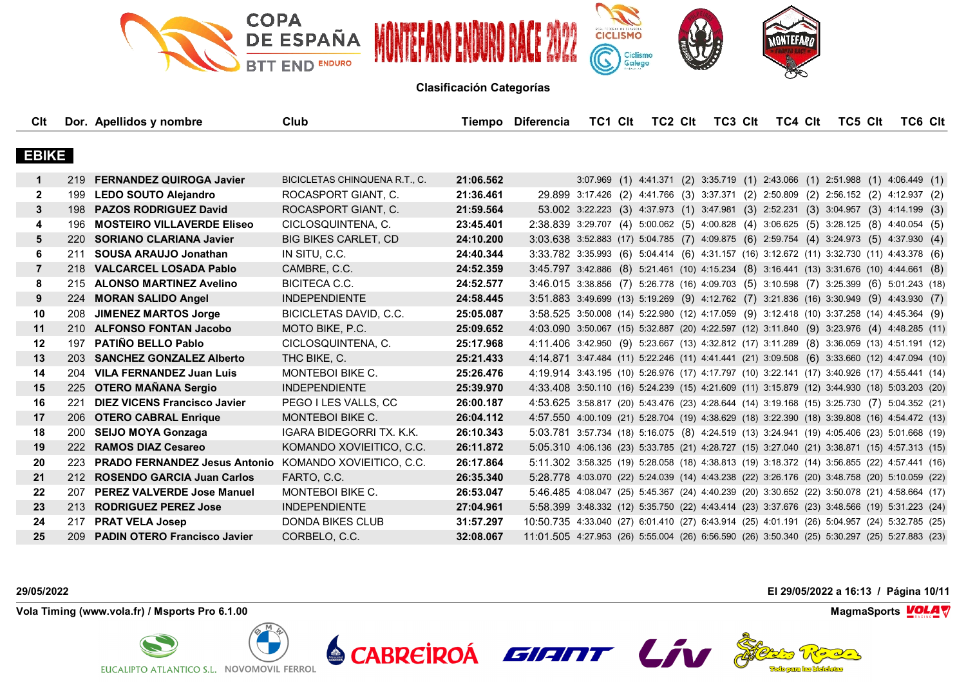

| Clt          |            | Dor. Apellidos y nombre                                | Club                                 | Tiempo    | Diferencia                                                                                    | TC1 CIt | TC2 Clt | TC3 Clt | TC4 Clt                                                                              | TC5 CIt | TC6 CIt |  |
|--------------|------------|--------------------------------------------------------|--------------------------------------|-----------|-----------------------------------------------------------------------------------------------|---------|---------|---------|--------------------------------------------------------------------------------------|---------|---------|--|
|              |            |                                                        |                                      |           |                                                                                               |         |         |         |                                                                                      |         |         |  |
| <b>EBIKE</b> |            |                                                        |                                      |           |                                                                                               |         |         |         |                                                                                      |         |         |  |
| 1            |            | 219 FERNANDEZ QUIROGA Javier                           | <b>BICICLETAS CHINQUENA R.T., C.</b> | 21:06.562 |                                                                                               |         |         |         | 3:07.969 (1) 4:41.371 (2) 3:35.719 (1) 2:43.066 (1) 2:51.988 (1) 4:06.449 (1)        |         |         |  |
| $\mathbf{2}$ |            | 199 LEDO SOUTO Alejandro                               | ROCASPORT GIANT, C.                  | 21:36.461 |                                                                                               |         |         |         | 29.899 3:17.426 (2) 4:41.766 (3) 3:37.371 (2) 2:50.809 (2) 2:56.152 (2) 4:12.937 (2) |         |         |  |
| 3            |            | 198 PAZOS RODRIGUEZ David                              | ROCASPORT GIANT, C.                  | 21:59.564 |                                                                                               |         |         |         | 53.002 3:22.223 (3) 4:37.973 (1) 3:47.981 (3) 2:52.231 (3) 3:04.957 (3) 4:14.199 (3) |         |         |  |
| 4            | 196        | <b>MOSTEIRO VILLAVERDE Eliseo</b>                      | CICLOSQUINTENA, C.                   | 23:45.401 | 2:38.839 3:29.707 (4) 5:00.062 (5) 4:00.828 (4) 3:06.625 (5) 3:28.125 (8) 4:40.054 (5)        |         |         |         |                                                                                      |         |         |  |
| 5            |            | 220 SORIANO CLARIANA Javier                            | <b>BIG BIKES CARLET, CD</b>          | 24:10.200 | 3:03.638 3:52.883 (17) 5:04.785 (7) 4:09.875 (6) 2:59.754 (4) 3:24.973 (5) 4:37.930 (4)       |         |         |         |                                                                                      |         |         |  |
| 6            | 211        | <b>SOUSA ARAUJO Jonathan</b>                           | IN SITU, C.C.                        | 24:40.344 | 3:33.782 3:35.993 (6) 5:04.414 (6) 4:31.157 (16) 3:12.672 (11) 3:32.730 (11) 4:43.378 (6)     |         |         |         |                                                                                      |         |         |  |
| 7            |            | 218 VALCARCEL LOSADA Pablo                             | CAMBRE, C.C.                         | 24:52.359 | 3:45.797 3:42.886 (8) 5:21.461 (10) 4:15.234 (8) 3:16.441 (13) 3:31.676 (10) 4:44.661 (8)     |         |         |         |                                                                                      |         |         |  |
| 8            |            | 215 ALONSO MARTINEZ Avelino                            | <b>BICITECA C.C.</b>                 | 24:52.577 | 3:46.015 3:38.856 (7) 5:26.778 (16) 4:09.703 (5) 3:10.598 (7) 3:25.399 (6) 5:01.243 (18)      |         |         |         |                                                                                      |         |         |  |
| 9            |            | 224 MORAN SALIDO Angel                                 | <b>INDEPENDIENTE</b>                 | 24:58.445 | 3:51.883 3:49.699 (13) 5:19.269 (9) 4:12.762 (7) 3:21.836 (16) 3:30.949 (9) 4:43.930 (7)      |         |         |         |                                                                                      |         |         |  |
| 10           | 208        | <b>JIMENEZ MARTOS Jorge</b>                            | BICICLETAS DAVID, C.C.               | 25:05.087 | 3:58.525 3:50.008 (14) 5:22.980 (12) 4:17.059 (9) 3:12.418 (10) 3:37.258 (14) 4:45.364 (9)    |         |         |         |                                                                                      |         |         |  |
| 11           |            | 210 ALFONSO FONTAN Jacobo                              | MOTO BIKE, P.C.                      | 25:09.652 | 4:03.090 3:50.067 (15) 5:32.887 (20) 4:22.597 (12) 3:11.840 (9) 3:23.976 (4) 4:48.285 (11)    |         |         |         |                                                                                      |         |         |  |
| 12           | 197        | <b>PATIÑO BELLO Pablo</b>                              | CICLOSQUINTENA, C.                   | 25:17.968 | 4:11.406 3:42.950 (9) 5:23.667 (13) 4:32.812 (17) 3:11.289 (8) 3:36.059 (13) 4:51.191 (12)    |         |         |         |                                                                                      |         |         |  |
| 13           |            | 203 SANCHEZ GONZALEZ Alberto                           | THC BIKE, C.                         | 25:21.433 | 4:14.871 3:47.484 (11) 5:22.246 (11) 4:41.441 (21) 3:09.508 (6) 3:33.660 (12) 4:47.094 (10)   |         |         |         |                                                                                      |         |         |  |
| 14           | 204        | <b>VILA FERNANDEZ Juan Luis</b>                        | <b>MONTEBOI BIKE C.</b>              | 25:26.476 | 4:19.914 3:43.195 (10) 5:26.976 (17) 4:17.797 (10) 3:22.141 (17) 3:40.926 (17) 4:55.441 (14)  |         |         |         |                                                                                      |         |         |  |
| 15           |            | 225 OTERO MAÑANA Sergio                                | <b>INDEPENDIENTE</b>                 | 25:39.970 | 4:33.408 3:50.110 (16) 5:24.239 (15) 4:21.609 (11) 3:15.879 (12) 3:44.930 (18) 5:03.203 (20)  |         |         |         |                                                                                      |         |         |  |
| 16           | 221        | <b>DIEZ VICENS Francisco Javier</b>                    | PEGO I LES VALLS, CC                 | 26:00.187 | 4:53.625 3:58.817 (20) 5:43.476 (23) 4:28.644 (14) 3:19.168 (15) 3:25.730 (7) 5:04.352 (21)   |         |         |         |                                                                                      |         |         |  |
| 17           |            | 206 OTERO CABRAL Enrique                               | <b>MONTEBOI BIKE C.</b>              | 26:04.112 | 4:57.550 4:00.109 (21) 5:28.704 (19) 4:38.629 (18) 3:22.390 (18) 3:39.808 (16) 4:54.472 (13)  |         |         |         |                                                                                      |         |         |  |
| 18           |            | 200 SEIJO MOYA Gonzaga                                 | IGARA BIDEGORRI TX. K.K.             | 26:10.343 | 5:03.781 3:57.734 (18) 5:16.075 (8) 4:24.519 (13) 3:24.941 (19) 4:05.406 (23) 5:01.668 (19)   |         |         |         |                                                                                      |         |         |  |
| 19           |            | 222 RAMOS DIAZ Cesareo                                 | KOMANDO XOVIEITICO, C.C.             | 26:11.872 | 5:05.310 4:06.136 (23) 5:33.785 (21) 4:28.727 (15) 3:27.040 (21) 3:38.871 (15) 4:57.313 (15)  |         |         |         |                                                                                      |         |         |  |
| 20           | 223        | PRADO FERNANDEZ Jesus Antonio KOMANDO XOVIEITICO, C.C. |                                      | 26:17.864 | 5:11.302 3:58.325 (19) 5:28.058 (18) 4:38.813 (19) 3:18.372 (14) 3:56.855 (22) 4:57.441 (16)  |         |         |         |                                                                                      |         |         |  |
| 21           |            | 212 ROSENDO GARCIA Juan Carlos                         | FARTO, C.C.                          | 26:35.340 | 5:28.778 4:03.070 (22) 5:24.039 (14) 4:43.238 (22) 3:26.176 (20) 3:48.758 (20) 5:10.059 (22)  |         |         |         |                                                                                      |         |         |  |
| 22           | 207        | <b>PEREZ VALVERDE Jose Manuel</b>                      | <b>MONTEBOI BIKE C.</b>              | 26:53.047 | 5:46.485 4:08.047 (25) 5:45.367 (24) 4:40.239 (20) 3:30.652 (22) 3:50.078 (21) 4:58.664 (17)  |         |         |         |                                                                                      |         |         |  |
| 23           |            | 213 RODRIGUEZ PEREZ Jose                               | <b>INDEPENDIENTE</b>                 | 27:04.961 | 5:58.399 3:48.332 (12) 5:35.750 (22) 4:43.414 (23) 3:37.676 (23) 3:48.566 (19) 5:31.223 (24)  |         |         |         |                                                                                      |         |         |  |
| 24           |            | 217 PRAT VELA Josep                                    | <b>DONDA BIKES CLUB</b>              | 31:57.297 | 10:50.735 4:33.040 (27) 6:01.410 (27) 6:43.914 (25) 4:01.191 (26) 5:04.957 (24) 5:32.785 (25) |         |         |         |                                                                                      |         |         |  |
| 25           | <b>209</b> | <b>PADIN OTERO Francisco Javier</b>                    | CORBELO, C.C.                        | 32:08.067 | 11:01.505 4:27.953 (26) 5:55.004 (26) 6:56.590 (26) 3:50.340 (25) 5:30.297 (25) 5:27.883 (23) |         |         |         |                                                                                      |         |         |  |

**Vola Timing (www.vola.fr) / Msports Pro 6.1.00 MagmaSports VOLA** 



**29/05/2022 El 29/05/2022 a 16:13 / Página 10/11**

The longing has birded are



**VolaSoftControlPdf**